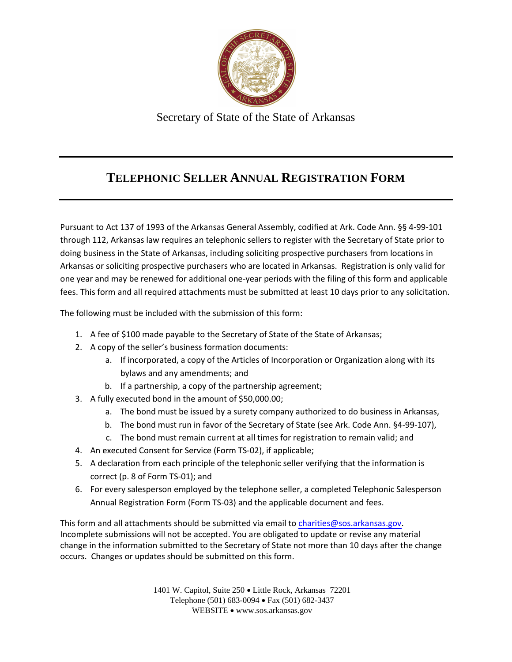

Secretary of State of the State of Arkansas

#### **TELEPHONIC SELLER ANNUAL REGISTRATION FORM**

Pursuant to Act 137 of 1993 of the Arkansas General Assembly, codified at Ark. Code Ann. §§ 4-99-101 through 112, Arkansas law requires an telephonic sellers to register with the Secretary of State prior to doing business in the State of Arkansas, including soliciting prospective purchasers from locations in Arkansas or soliciting prospective purchasers who are located in Arkansas. Registration is only valid for one year and may be renewed for additional one-year periods with the filing of this form and applicable fees. This form and all required attachments must be submitted at least 10 days prior to any solicitation.

The following must be included with the submission of this form:

- 1. A fee of \$100 made payable to the Secretary of State of the State of Arkansas;
- 2. A copy of the seller's business formation documents:
	- a. If incorporated, a copy of the Articles of Incorporation or Organization along with its bylaws and any amendments; and
	- b. If a partnership, a copy of the partnership agreement;
- 3. A fully executed bond in the amount of \$50,000.00;
	- a. The bond must be issued by a surety company authorized to do business in Arkansas,
	- b. The bond must run in favor of the Secretary of State (see Ark. Code Ann. §4-99-107),
	- c. The bond must remain current at all times for registration to remain valid; and
- 4. An executed Consent for Service (Form TS-02), if applicable;
- 5. A declaration from each principle of the telephonic seller verifying that the information is correct (p. 8 of Form TS-01); and
- 6. For every salesperson employed by the telephone seller, a completed Telephonic Salesperson Annual Registration Form (Form TS-03) and the applicable document and fees.

This form and all attachments should be submitted via email to [charities@sos.arkansas.gov](mailto:charities@sos.arkansas.gov). Incomplete submissions will not be accepted. You are obligated to update or revise any material change in the information submitted to the Secretary of State not more than 10 days after the change occurs. Changes or updates should be submitted on this form.

> 1401 W. Capitol, Suite 250 Little Rock, Arkansas 72201 Telephone (501) 683-0094 Fax (501) 682-3437 WEBSITE . www.sos.arkansas.gov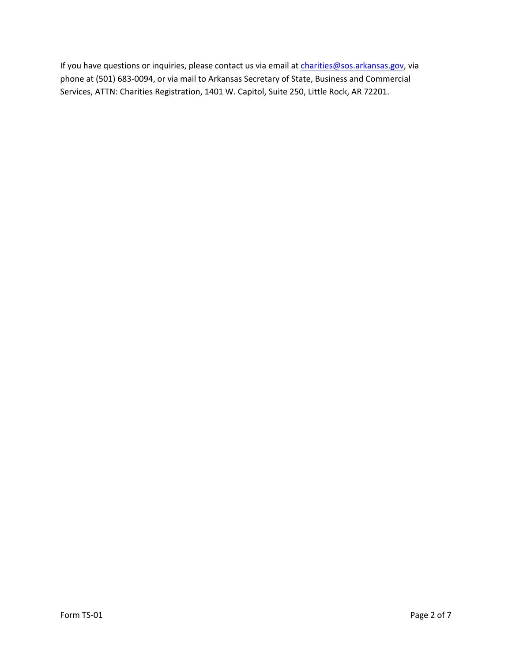If you have questions or inquiries, please contact us via email at [charities@sos.arkansas.gov](mailto:charities@sos.arkansas.gov), via phone at (501) 683-0094, or via mail to Arkansas Secretary of State, Business and Commercial Services, ATTN: Charities Registration, 1401 W. Capitol, Suite 250, Little Rock, AR 72201.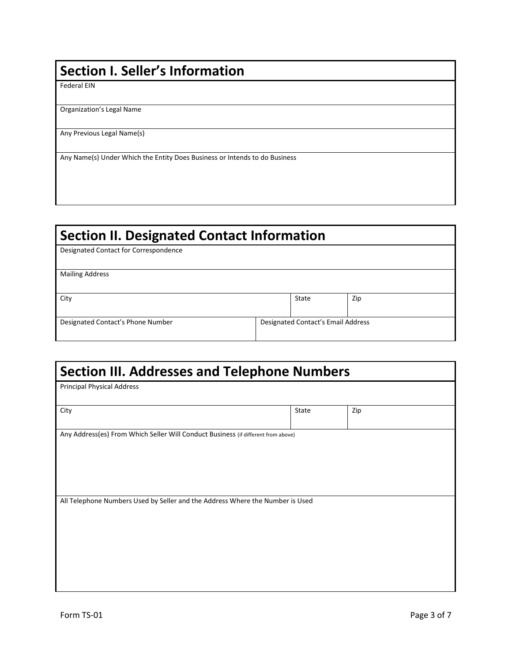## **Section I. Seller's Information**

Federal EIN

Organization's Legal Name

Any Previous Legal Name(s)

Any Name(s) Under Which the Entity Does Business or Intends to do Business

## **Section II. Designated Contact Information**

Designated Contact for Correspondence

Mailing Address

City State Zip

Designated Contact's Phone Number Designated Contact's Email Address

| <b>Section III. Addresses and Telephone Numbers</b>                               |  |       |     |  |
|-----------------------------------------------------------------------------------|--|-------|-----|--|
| <b>Principal Physical Address</b>                                                 |  |       |     |  |
| City                                                                              |  | State | Zip |  |
| Any Address(es) From Which Seller Will Conduct Business (if different from above) |  |       |     |  |
|                                                                                   |  |       |     |  |
|                                                                                   |  |       |     |  |
| All Telephone Numbers Used by Seller and the Address Where the Number is Used     |  |       |     |  |
|                                                                                   |  |       |     |  |
|                                                                                   |  |       |     |  |
|                                                                                   |  |       |     |  |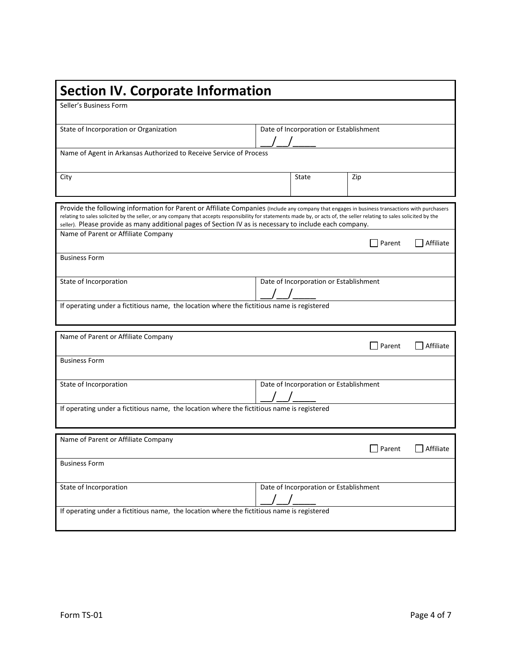| <b>Section IV. Corporate Information</b>                                                                                                                                                                                                                                                                                                                                                                                             |                                        |                                        |        |           |
|--------------------------------------------------------------------------------------------------------------------------------------------------------------------------------------------------------------------------------------------------------------------------------------------------------------------------------------------------------------------------------------------------------------------------------------|----------------------------------------|----------------------------------------|--------|-----------|
| Seller's Business Form                                                                                                                                                                                                                                                                                                                                                                                                               |                                        |                                        |        |           |
| State of Incorporation or Organization                                                                                                                                                                                                                                                                                                                                                                                               | Date of Incorporation or Establishment |                                        |        |           |
| Name of Agent in Arkansas Authorized to Receive Service of Process                                                                                                                                                                                                                                                                                                                                                                   |                                        |                                        |        |           |
| City                                                                                                                                                                                                                                                                                                                                                                                                                                 |                                        | State                                  | Zip    |           |
| Provide the following information for Parent or Affiliate Companies (Include any company that engages in business transactions with purchasers<br>relating to sales solicited by the seller, or any company that accepts responsibility for statements made by, or acts of, the seller relating to sales solicited by the<br>seller). Please provide as many additional pages of Section IV as is necessary to include each company. |                                        |                                        |        |           |
| Name of Parent or Affiliate Company                                                                                                                                                                                                                                                                                                                                                                                                  |                                        |                                        | Parent | Affiliate |
| <b>Business Form</b>                                                                                                                                                                                                                                                                                                                                                                                                                 |                                        |                                        |        |           |
| State of Incorporation                                                                                                                                                                                                                                                                                                                                                                                                               |                                        | Date of Incorporation or Establishment |        |           |
| If operating under a fictitious name, the location where the fictitious name is registered                                                                                                                                                                                                                                                                                                                                           |                                        |                                        |        |           |
| Name of Parent or Affiliate Company                                                                                                                                                                                                                                                                                                                                                                                                  |                                        |                                        | Parent | Affiliate |
| <b>Business Form</b>                                                                                                                                                                                                                                                                                                                                                                                                                 |                                        |                                        |        |           |
| State of Incorporation                                                                                                                                                                                                                                                                                                                                                                                                               |                                        | Date of Incorporation or Establishment |        |           |
| If operating under a fictitious name, the location where the fictitious name is registered                                                                                                                                                                                                                                                                                                                                           |                                        |                                        |        |           |
|                                                                                                                                                                                                                                                                                                                                                                                                                                      |                                        |                                        |        |           |
| Name of Parent or Affiliate Company                                                                                                                                                                                                                                                                                                                                                                                                  |                                        |                                        | Parent | Affiliate |
| <b>Business Form</b>                                                                                                                                                                                                                                                                                                                                                                                                                 |                                        |                                        |        |           |
| State of Incorporation                                                                                                                                                                                                                                                                                                                                                                                                               |                                        | Date of Incorporation or Establishment |        |           |
| If operating under a fictitious name, the location where the fictitious name is registered                                                                                                                                                                                                                                                                                                                                           |                                        |                                        |        |           |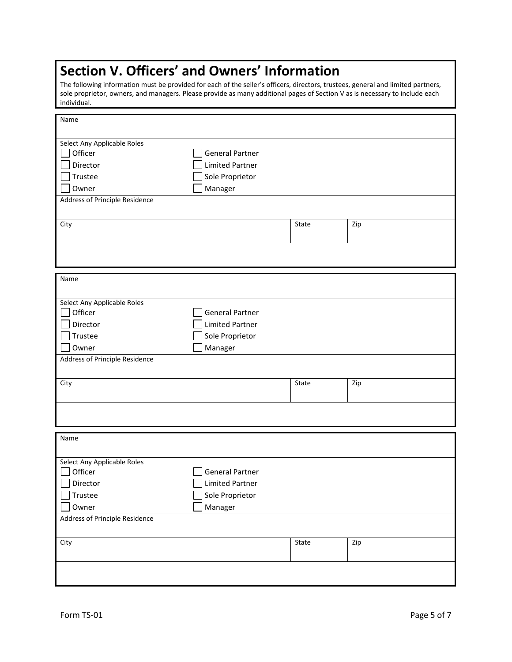# **Section V. Officers' and Owners' Information**

The following information must be provided for each of the seller's officers, directors, trustees, general and limited partners, sole proprietor, owners, and managers. Please provide as many additional pages of Section V as is necessary to include each individual.

| Name                                  |                        |       |     |
|---------------------------------------|------------------------|-------|-----|
| Select Any Applicable Roles           |                        |       |     |
| Officer                               | <b>General Partner</b> |       |     |
| Director                              | <b>Limited Partner</b> |       |     |
| Trustee                               | Sole Proprietor        |       |     |
| Owner                                 | Manager                |       |     |
| <b>Address of Principle Residence</b> |                        |       |     |
|                                       |                        |       |     |
| City                                  |                        | State | Zip |
|                                       |                        |       |     |
|                                       |                        |       |     |
|                                       |                        |       |     |
| Name                                  |                        |       |     |
|                                       |                        |       |     |
| Select Any Applicable Roles           |                        |       |     |
| Officer                               | <b>General Partner</b> |       |     |
| Director                              | <b>Limited Partner</b> |       |     |
| Trustee                               | Sole Proprietor        |       |     |
| Owner                                 | Manager                |       |     |
| Address of Principle Residence        |                        |       |     |
|                                       |                        |       |     |
| City                                  |                        | State | Zip |
|                                       |                        |       |     |
|                                       |                        |       |     |
|                                       |                        |       |     |
|                                       |                        |       |     |
| Name                                  |                        |       |     |
| Select Any Applicable Roles           |                        |       |     |
| Officer                               | <b>General Partner</b> |       |     |
| Director                              | <b>Limited Partner</b> |       |     |
| Trustee                               | Sole Proprietor        |       |     |
| Owner                                 | Manager                |       |     |
| Address of Principle Residence        |                        |       |     |
|                                       |                        |       |     |
| City                                  |                        | State | Zip |
|                                       |                        |       |     |
|                                       |                        |       |     |
|                                       |                        |       |     |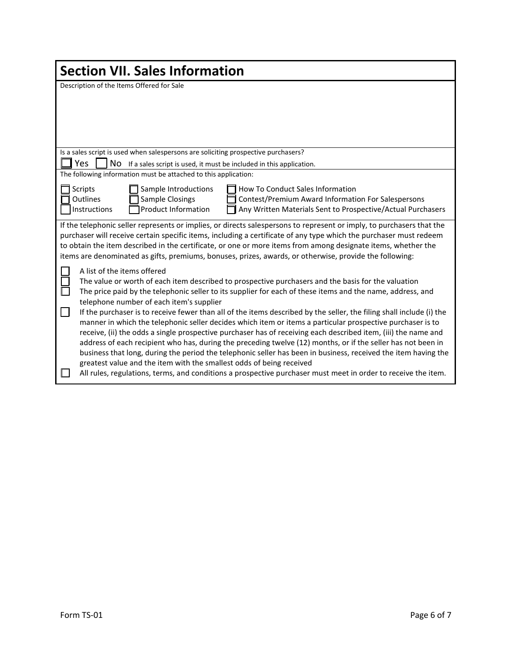| <b>Section VII. Sales Information</b>                                                                                                                                                                                                                                                                                                                                                                                                                                                                                                                                                                                                                                                                                                                                                                                                                                                                                                                                                                                                                                                |  |  |  |  |
|--------------------------------------------------------------------------------------------------------------------------------------------------------------------------------------------------------------------------------------------------------------------------------------------------------------------------------------------------------------------------------------------------------------------------------------------------------------------------------------------------------------------------------------------------------------------------------------------------------------------------------------------------------------------------------------------------------------------------------------------------------------------------------------------------------------------------------------------------------------------------------------------------------------------------------------------------------------------------------------------------------------------------------------------------------------------------------------|--|--|--|--|
| Description of the Items Offered for Sale                                                                                                                                                                                                                                                                                                                                                                                                                                                                                                                                                                                                                                                                                                                                                                                                                                                                                                                                                                                                                                            |  |  |  |  |
| Is a sales script is used when salespersons are soliciting prospective purchasers?                                                                                                                                                                                                                                                                                                                                                                                                                                                                                                                                                                                                                                                                                                                                                                                                                                                                                                                                                                                                   |  |  |  |  |
| <b>Yes</b><br>NO If a sales script is used, it must be included in this application.                                                                                                                                                                                                                                                                                                                                                                                                                                                                                                                                                                                                                                                                                                                                                                                                                                                                                                                                                                                                 |  |  |  |  |
| The following information must be attached to this application:                                                                                                                                                                                                                                                                                                                                                                                                                                                                                                                                                                                                                                                                                                                                                                                                                                                                                                                                                                                                                      |  |  |  |  |
| <b>Scripts</b><br>Sample Introductions<br>How To Conduct Sales Information<br><b>Outlines</b><br>Sample Closings<br>Contest/Premium Award Information For Salespersons<br><b>Product Information</b><br>Any Written Materials Sent to Prospective/Actual Purchasers<br>Instructions                                                                                                                                                                                                                                                                                                                                                                                                                                                                                                                                                                                                                                                                                                                                                                                                  |  |  |  |  |
| If the telephonic seller represents or implies, or directs salespersons to represent or imply, to purchasers that the<br>purchaser will receive certain specific items, including a certificate of any type which the purchaser must redeem<br>to obtain the item described in the certificate, or one or more items from among designate items, whether the<br>items are denominated as gifts, premiums, bonuses, prizes, awards, or otherwise, provide the following:                                                                                                                                                                                                                                                                                                                                                                                                                                                                                                                                                                                                              |  |  |  |  |
| A list of the items offered<br>The value or worth of each item described to prospective purchasers and the basis for the valuation<br>П<br>The price paid by the telephonic seller to its supplier for each of these items and the name, address, and<br>telephone number of each item's supplier<br>If the purchaser is to receive fewer than all of the items described by the seller, the filing shall include (i) the<br>manner in which the telephonic seller decides which item or items a particular prospective purchaser is to<br>receive, (ii) the odds a single prospective purchaser has of receiving each described item, (iii) the name and<br>address of each recipient who has, during the preceding twelve (12) months, or if the seller has not been in<br>business that long, during the period the telephonic seller has been in business, received the item having the<br>greatest value and the item with the smallest odds of being received<br>All rules, regulations, terms, and conditions a prospective purchaser must meet in order to receive the item. |  |  |  |  |